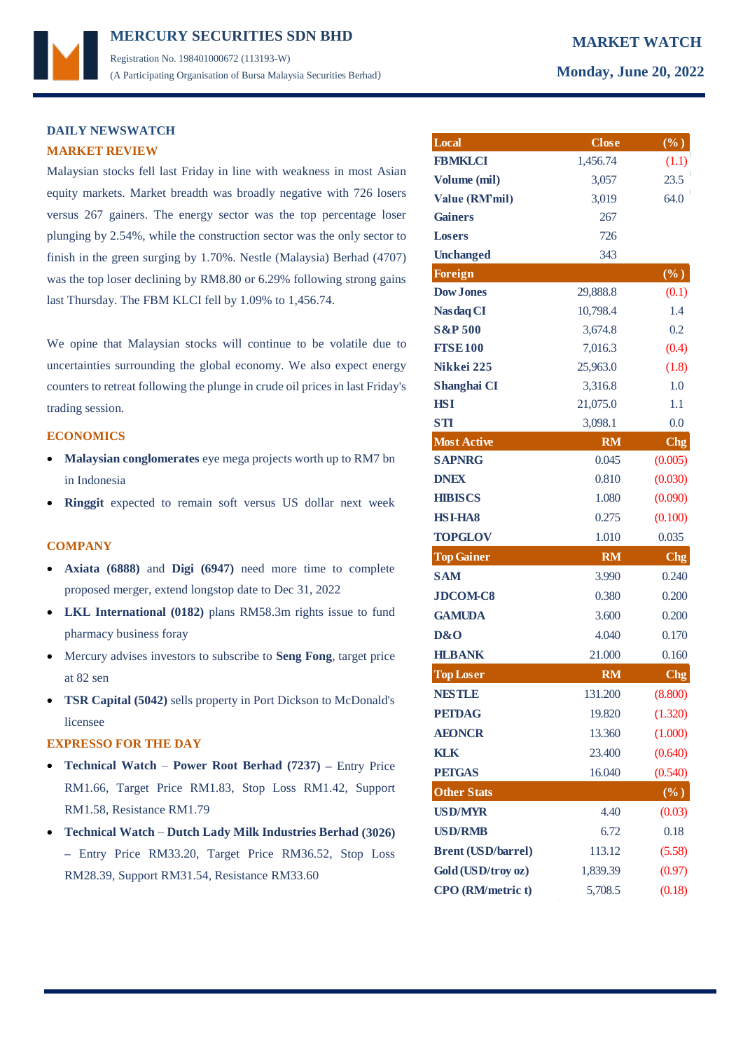## **DAILY NEWSWATCH MARKET REVIEW**

Malaysian stocks fell last Friday in line with weakness in most Asian equity markets. Market breadth was broadly negative with 726 losers versus 267 gainers. The energy sector was the top percentage loser plunging by 2.54%, while the construction sector was the only sector to finish in the green surging by 1.70%. Nestle (Malaysia) Berhad (4707) was the top loser declining by RM8.80 or 6.29% following strong gains last Thursday. The FBM KLCI fell by 1.09% to 1,456.74.

We opine that Malaysian stocks will continue to be volatile due to uncertainties surrounding the global economy. We also expect energy counters to retreat following the plunge in crude oil prices in last Friday's trading session.

#### **ECONOMICS**

- **Malaysian conglomerates** eye mega projects worth up to RM7 bn in Indonesia
- **Ringgit** expected to remain soft versus US dollar next week

#### **COMPANY**

- **Axiata (6888)** and **Digi (6947)** need more time to complete proposed merger, extend longstop date to Dec 31, 2022
- **LKL International (0182)** plans RM58.3m rights issue to fund pharmacy business foray
- Mercury advises investors to subscribe to **Seng Fong**, target price at 82 sen
- **TSR Capital (5042)** sells property in Port Dickson to McDonald's licensee

### **EXPRESSO FOR THE DAY**

- **Technical Watch Power Root Berhad (7237) –** Entry Price RM1.66, Target Price RM1.83, Stop Loss RM1.42, Support RM1.58, Resistance RM1.79
- **Technical Watch Dutch Lady Milk Industries Berhad (3026) –** Entry Price RM33.20, Target Price RM36.52, Stop Loss RM28.39, Support RM31.54, Resistance RM33.60

|  | Monday, June 20, 202 |
|--|----------------------|

| Local                     | <b>Close</b> | $(\%)$          |
|---------------------------|--------------|-----------------|
| <b>FBMKLCI</b>            | 1,456.74     | (1.1)           |
| Volume (mil)              | 3,057        | 23.5            |
| Value (RM'mil)            | 3,019        | 64.0            |
| <b>Gainers</b>            | 267          |                 |
| <b>Losers</b>             | 726          |                 |
| <b>Unchanged</b>          | 343          |                 |
| <b>Foreign</b>            |              | $(\%)$          |
| <b>Dow Jones</b>          | 29,888.8     | (0.1)           |
| <b>Nasdaq CI</b>          | 10,798.4     | 1.4             |
| <b>S&amp;P 500</b>        | 3,674.8      | 0.2             |
| <b>FTSE100</b>            | 7,016.3      | (0.4)           |
| Nikkei 225                | 25,963.0     | (1.8)           |
| Shanghai CI               | 3,316.8      | 1.0             |
| <b>HSI</b>                | 21,075.0     | 1.1             |
| <b>STI</b>                | 3,098.1      | 0.0             |
| <b>Most Active</b>        | <b>RM</b>    | <b>Chg</b>      |
| <b>SAPNRG</b>             | 0.045        | (0.005)         |
| <b>DNEX</b>               | 0.810        | (0.030)         |
| <b>HIBISCS</b>            | 1.080        | (0.090)         |
| <b>HSI-HA8</b>            | 0.275        | (0.100)         |
| <b>TOPGLOV</b>            | 1.010        | 0.035           |
| <b>Top Gainer</b>         | <b>RM</b>    | C <sub>ng</sub> |
| <b>SAM</b>                | 3.990        | 0.240           |
| <b>JDCOM-C8</b>           | 0.380        | 0.200           |
| <b>GAMUDA</b>             | 3.600        | 0.200           |
| D&O                       | 4.040        | 0.170           |
| <b>HLBANK</b>             | 21.000       | 0.160           |
| <b>Top Loser</b>          | <b>RM</b>    | <b>Chg</b>      |
| <b>NESTLE</b>             | 131.200      | (8.800)         |
| <b>PETDAG</b>             | 19.820       | (1.320)         |
| <b>AEONCR</b>             | 13.360       | (1.000)         |
| <b>KLK</b>                | 23.400       | (0.640)         |
| <b>PETGAS</b>             | 16.040       | (0.540)         |
| <b>Other Stats</b>        |              | $(\%)$          |
| <b>USD/MYR</b>            | 4.40         | (0.03)          |
| <b>USD/RMB</b>            | 6.72         | 0.18            |
| <b>Brent (USD/barrel)</b> | 113.12       | (5.58)          |
| Gold (USD/troy oz)        | 1,839.39     | (0.97)          |
| CPO (RM/metric t)         | 5,708.5      | (0.18)          |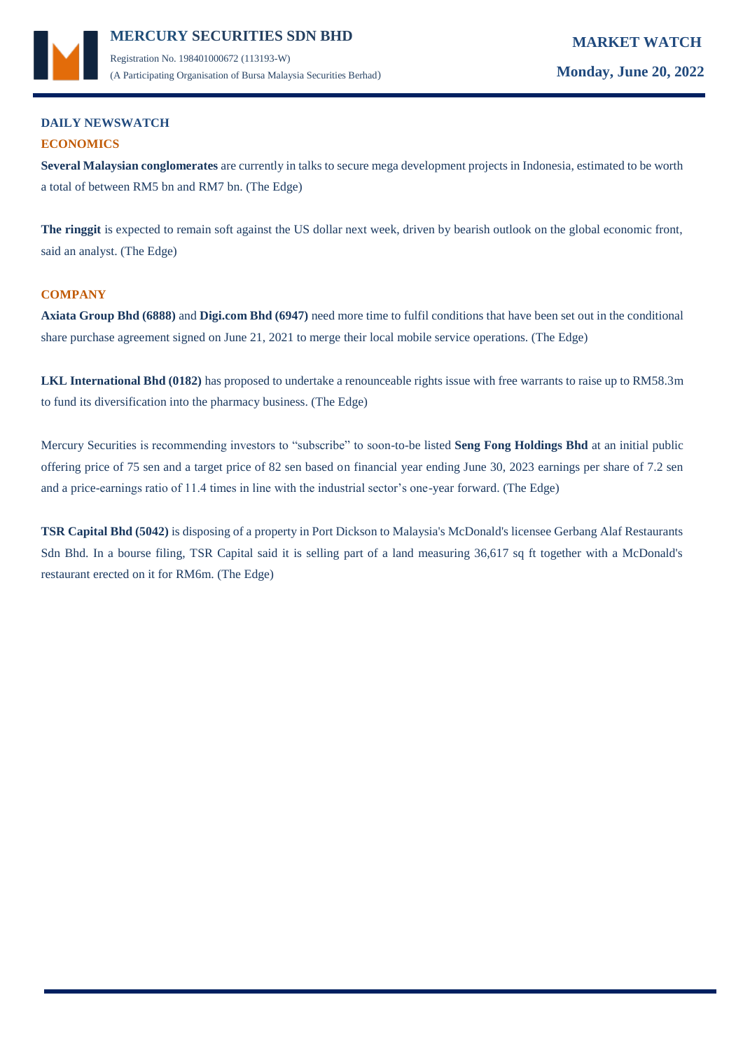

(A Participating Organisation of Bursa Malaysia Securities Berhad) **Monday, June 20, 2022**

## **DAILY NEWSWATCH ECONOMICS**

**Several Malaysian conglomerates** are currently in talks to secure mega development projects in Indonesia, estimated to be worth a total of between RM5 bn and RM7 bn. (The Edge)

**The ringgit** is expected to remain soft against the US dollar next week, driven by bearish outlook on the global economic front, said an analyst. (The Edge)

## **COMPANY**

**Axiata Group Bhd (6888)** and **Digi.com Bhd (6947)** need more time to fulfil conditions that have been set out in the conditional share purchase agreement signed on June 21, 2021 to merge their local mobile service operations. (The Edge)

LKL International Bhd (0182) has proposed to undertake a renounceable rights issue with free warrants to raise up to RM58.3m to fund its diversification into the pharmacy business. (The Edge)

Mercury Securities is recommending investors to "subscribe" to soon-to-be listed **Seng Fong Holdings Bhd** at an initial public offering price of 75 sen and a target price of 82 sen based on financial year ending June 30, 2023 earnings per share of 7.2 sen and a price-earnings ratio of 11.4 times in line with the industrial sector's one-year forward. (The Edge)

**TSR Capital Bhd (5042)** is disposing of a property in Port Dickson to Malaysia's McDonald's licensee Gerbang Alaf Restaurants Sdn Bhd. In a bourse filing, TSR Capital said it is selling part of a land measuring 36,617 sq ft together with a McDonald's restaurant erected on it for RM6m. (The Edge)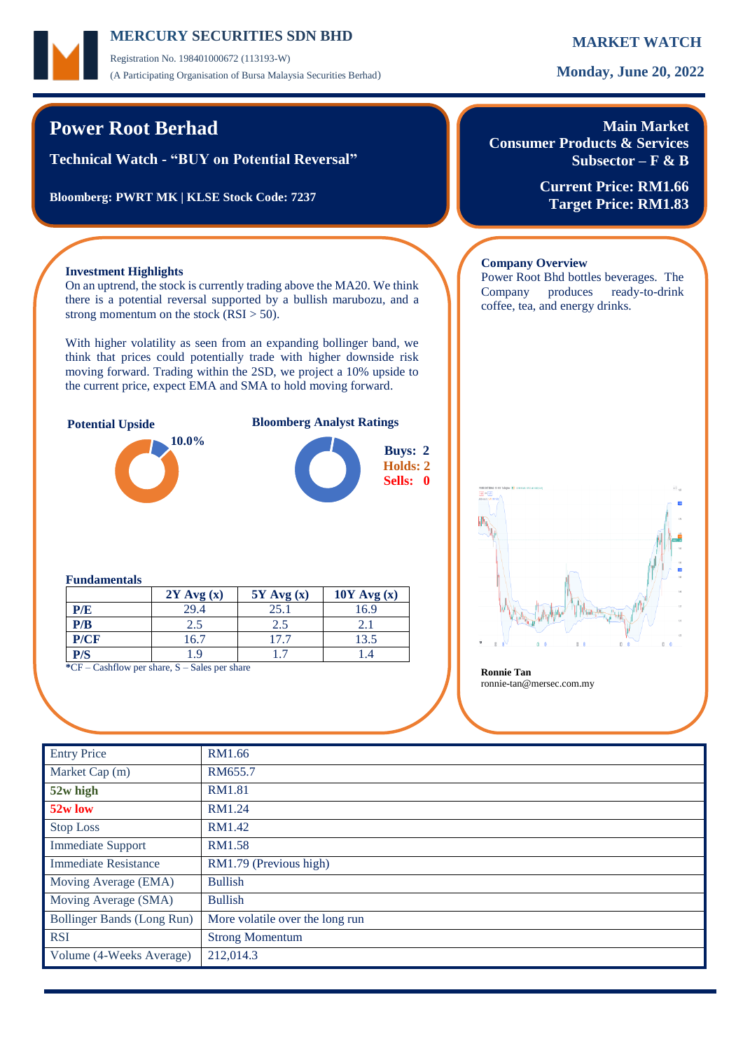Registration No. 198401000672 (113193-W) (A Participating Organisation of Bursa Malaysia Securities Berhad) **Monday, June 20, 2022**

On an uptrend, the stock is currently trading above the MA20. We think there is a potential reversal supported by a bullish marubozu, and a

With higher volatility as seen from an expanding bollinger band, we think that prices could potentially trade with higher downside risk moving forward. Trading within the 2SD, we project a 10% upside to the current price, expect EMA and SMA to hold moving forward.

**Potential Upside Bloomberg Analyst Ratings**

# **Power Root Berhad**

**Investment Highlights**

**Technical Watch - "BUY on Potential Reversal"**

**Bloomberg: PWRT MK | KLSE Stock Code: 7237**

strong momentum on the stock  $(RSI > 50)$ .

**10.0%**

## **Main Market Consumer Products & Services Subsector – F & B**

**Current Price: RM1.66 Target Price: RM1.83**

### **Company Overview**

Power Root Bhd bottles beverages. The Company produces ready-to-drink coffee, tea, and energy drinks.



#### **Fundamentals**

|                                                             | $2Y$ Avg $(x)$ | $5Y$ Avg $(x)$ | $10Y$ Avg $(x)$ |  |  |  |  |
|-------------------------------------------------------------|----------------|----------------|-----------------|--|--|--|--|
| P/E                                                         | 29.4           | 25.1           | 16.9            |  |  |  |  |
| P/B                                                         | 2.5            | 2.5            |                 |  |  |  |  |
| P/CF                                                        | 16.7           | 17.7           | 13.5            |  |  |  |  |
| P/S                                                         | 9. ا           |                |                 |  |  |  |  |
| $C = \text{Coshflow}$ par share $S = \text{Cake}$ par share |                |                |                 |  |  |  |  |

**CF** – Cashflow per share, S – Sales per share **Ronnie Tan** 

ronnie-tan@mersec.com.my

| <b>Entry Price</b>          | RM1.66                          |
|-----------------------------|---------------------------------|
| Market Cap (m)              | RM655.7                         |
| 52w high                    | <b>RM1.81</b>                   |
| 52w low                     | RM1.24                          |
| <b>Stop Loss</b>            | RM1.42                          |
| <b>Immediate Support</b>    | RM1.58                          |
| <b>Immediate Resistance</b> | RM1.79 (Previous high)          |
| Moving Average (EMA)        | <b>Bullish</b>                  |
| Moving Average (SMA)        | <b>Bullish</b>                  |
| Bollinger Bands (Long Run)  | More volatile over the long run |
| <b>RSI</b>                  | <b>Strong Momentum</b>          |
| Volume (4-Weeks Average)    | 212,014.3                       |
|                             |                                 |

**Buys: 2 Holds: 2 Sells: 0**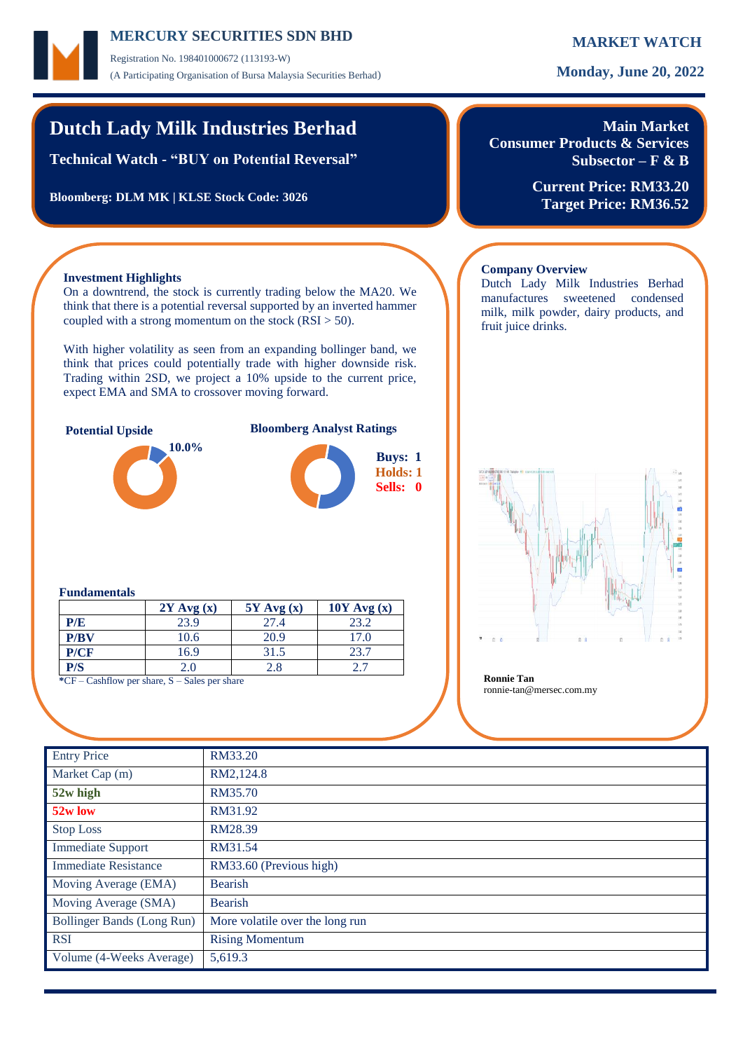Registration No. 198401000672 (113193-W) (A Participating Organisation of Bursa Malaysia Securities Berhad) **Monday, June 20, 2022**

# **Dutch Lady Milk Industries Berhad**

**Technical Watch - "BUY on Potential Reversal"**

**Bloomberg: DLM MK | KLSE Stock Code: 3026**

## **Main Market Consumer Products & Services Subsector – F & B**

**Current Price: RM33.20 Target Price: RM36.52**

Dutch Lady Milk Industries Berhad manufactures sweetened condensed milk, milk powder, dairy products, and

### **Investment Highlights**

On a downtrend, the stock is currently trading below the MA20. We think that there is a potential reversal supported by an inverted hammer coupled with a strong momentum on the stock  $(RSI > 50)$ .

With higher volatility as seen from an expanding bollinger band, we think that prices could potentially trade with higher downside risk. Trading within 2SD, we project a 10% upside to the current price, expect EMA and SMA to crossover moving forward.



### **Potential Upside Bloomberg Analyst Ratings**





# **Fundamentals**

|      | $2Y$ Avg $(x)$ | $5Y$ Avg $(x)$ | $10Y$ Avg (x) |
|------|----------------|----------------|---------------|
| P/E  | 23.9           | 27.4           | 23.2          |
| P/BV | 10.6           | 20.9           | 17.0          |
| P/CF | 16.9           | 31.5           | 23.7          |
| P/S  | 2.0            | 2.8            |               |

**\***CF – Cashflow per share, S – Sales per share **Ronnie Tan**

# ronnie-tan@mersec.com.my

**Company Overview**

fruit juice drinks.

| <b>Entry Price</b>          | RM33.20                         |
|-----------------------------|---------------------------------|
| Market Cap (m)              | RM2,124.8                       |
| 52w high                    | RM35.70                         |
| 52w low                     | RM31.92                         |
| <b>Stop Loss</b>            | RM28.39                         |
| <b>Immediate Support</b>    | RM31.54                         |
| <b>Immediate Resistance</b> | RM33.60 (Previous high)         |
| Moving Average (EMA)        | <b>Bearish</b>                  |
| Moving Average (SMA)        | <b>Bearish</b>                  |
| Bollinger Bands (Long Run)  | More volatile over the long run |
| <b>RSI</b>                  | <b>Rising Momentum</b>          |
| Volume (4-Weeks Average)    | 5,619.3                         |
|                             |                                 |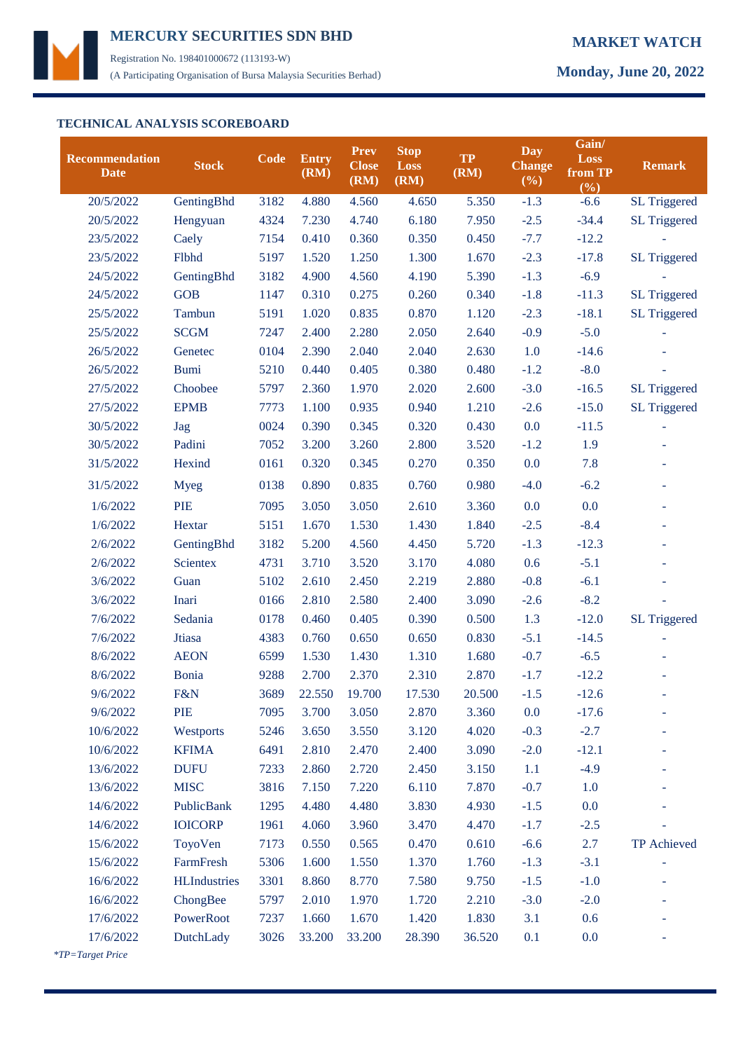

Registration No. 198401000672 (113193-W) (A Participating Organisation of Bursa Malaysia Securities Berhad) **Monday, June 20, 2022**

## **TECHNICAL ANALYSIS SCOREBOARD**

| <b>Recommendation</b><br><b>Date</b>                               | <b>Stock</b>        | Code | <b>Entry</b><br>(RM) | <b>Prev</b><br><b>Close</b><br>(RM) | <b>Stop</b><br><b>Loss</b><br>(RM) | <b>TP</b><br>(RM) | Day<br><b>Change</b><br>$(\%)$ | Gain/<br>Loss<br>from TP<br>(%) | <b>Remark</b>            |
|--------------------------------------------------------------------|---------------------|------|----------------------|-------------------------------------|------------------------------------|-------------------|--------------------------------|---------------------------------|--------------------------|
| 20/5/2022                                                          | GentingBhd          | 3182 | 4.880                | 4.560                               | 4.650                              | 5.350             | $-1.3$                         | $-6.6$                          | <b>SL Triggered</b>      |
| 20/5/2022                                                          | Hengyuan            | 4324 | 7.230                | 4.740                               | 6.180                              | 7.950             | $-2.5$                         | $-34.4$                         | <b>SL Triggered</b>      |
| 23/5/2022                                                          | Caely               | 7154 | 0.410                | 0.360                               | 0.350                              | 0.450             | $-7.7$                         | $-12.2$                         |                          |
| 23/5/2022                                                          | Flbhd               | 5197 | 1.520                | 1.250                               | 1.300                              | 1.670             | $-2.3$                         | $-17.8$                         | SL Triggered             |
| 24/5/2022                                                          | GentingBhd          | 3182 | 4.900                | 4.560                               | 4.190                              | 5.390             | $-1.3$                         | $-6.9$                          |                          |
| 24/5/2022                                                          | <b>GOB</b>          | 1147 | 0.310                | 0.275                               | 0.260                              | 0.340             | $-1.8$                         | $-11.3$                         | <b>SL Triggered</b>      |
| 25/5/2022                                                          | Tambun              | 5191 | 1.020                | 0.835                               | 0.870                              | 1.120             | $-2.3$                         | $-18.1$                         | <b>SL Triggered</b>      |
| 25/5/2022                                                          | <b>SCGM</b>         | 7247 | 2.400                | 2.280                               | 2.050                              | 2.640             | $-0.9$                         | $-5.0$                          |                          |
| 26/5/2022                                                          | Genetec             | 0104 | 2.390                | 2.040                               | 2.040                              | 2.630             | 1.0                            | $-14.6$                         |                          |
| 26/5/2022                                                          | <b>Bumi</b>         | 5210 | 0.440                | 0.405                               | 0.380                              | 0.480             | $-1.2$                         | $-8.0$                          |                          |
| 27/5/2022                                                          | Choobee             | 5797 | 2.360                | 1.970                               | 2.020                              | 2.600             | $-3.0$                         | $-16.5$                         | SL Triggered             |
| 27/5/2022                                                          | <b>EPMB</b>         | 7773 | 1.100                | 0.935                               | 0.940                              | 1.210             | $-2.6$                         | $-15.0$                         | <b>SL Triggered</b>      |
| 30/5/2022                                                          | Jag                 | 0024 | 0.390                | 0.345                               | 0.320                              | 0.430             | 0.0                            | $-11.5$                         |                          |
| 30/5/2022                                                          | Padini              | 7052 | 3.200                | 3.260                               | 2.800                              | 3.520             | $-1.2$                         | 1.9                             |                          |
| 31/5/2022                                                          | Hexind              | 0161 | 0.320                | 0.345                               | 0.270                              | 0.350             | 0.0                            | 7.8                             | ÷,                       |
| 31/5/2022                                                          | <b>Myeg</b>         | 0138 | 0.890                | 0.835                               | 0.760                              | 0.980             | $-4.0$                         | $-6.2$                          | $\overline{\phantom{a}}$ |
| 1/6/2022                                                           | PIE                 | 7095 | 3.050                | 3.050                               | 2.610                              | 3.360             | 0.0                            | 0.0                             | ۰                        |
| 1/6/2022                                                           | Hextar              | 5151 | 1.670                | 1.530                               | 1.430                              | 1.840             | $-2.5$                         | $-8.4$                          | $\overline{\phantom{a}}$ |
| 2/6/2022                                                           | GentingBhd          | 3182 | 5.200                | 4.560                               | 4.450                              | 5.720             | $-1.3$                         | $-12.3$                         | $\overline{\phantom{a}}$ |
| 2/6/2022                                                           | <b>Scientex</b>     | 4731 | 3.710                | 3.520                               | 3.170                              | 4.080             | 0.6                            | $-5.1$                          | ä,                       |
| 3/6/2022                                                           | Guan                | 5102 | 2.610                | 2.450                               | 2.219                              | 2.880             | $-0.8$                         | $-6.1$                          |                          |
| 3/6/2022                                                           | Inari               | 0166 | 2.810                | 2.580                               | 2.400                              | 3.090             | $-2.6$                         | $-8.2$                          |                          |
| 7/6/2022                                                           | Sedania             | 0178 | 0.460                | 0.405                               | 0.390                              | 0.500             | 1.3                            | $-12.0$                         | SL Triggered             |
| 7/6/2022                                                           | Jtiasa              | 4383 | 0.760                | 0.650                               | 0.650                              | 0.830             | $-5.1$                         | $-14.5$                         |                          |
| 8/6/2022                                                           | <b>AEON</b>         | 6599 | 1.530                | 1.430                               | 1.310                              | 1.680             | $-0.7$                         | $-6.5$                          |                          |
| 8/6/2022                                                           | <b>Bonia</b>        | 9288 | 2.700                | 2.370                               | 2.310                              | 2.870             | $-1.7$                         | $-12.2$                         |                          |
| 9/6/2022                                                           | F&N                 | 3689 | 22.550               | 19.700                              | 17.530                             | 20.500            | $-1.5$                         | $-12.6$                         |                          |
| 9/6/2022                                                           | PIE                 | 7095 | 3.700                | 3.050                               | 2.870                              | 3.360             | 0.0                            | $-17.6$                         |                          |
| 10/6/2022                                                          | Westports           | 5246 | 3.650                | 3.550                               | 3.120                              | 4.020             | $-0.3$                         | $-2.7$                          |                          |
| 10/6/2022                                                          | <b>KFIMA</b>        | 6491 | 2.810                | 2.470                               | 2.400                              | 3.090             | $-2.0$                         | $-12.1$                         |                          |
| 13/6/2022                                                          | <b>DUFU</b>         | 7233 | 2.860                | 2.720                               | 2.450                              | 3.150             | 1.1                            | $-4.9$                          |                          |
| 13/6/2022                                                          | <b>MISC</b>         | 3816 | 7.150                | 7.220                               | 6.110                              | 7.870             | $-0.7$                         | 1.0                             |                          |
| 14/6/2022                                                          | PublicBank          | 1295 | 4.480                | 4.480                               | 3.830                              | 4.930             | $-1.5$                         | 0.0                             |                          |
| 14/6/2022                                                          | <b>IOICORP</b>      | 1961 | 4.060                | 3.960                               | 3.470                              | 4.470             | $-1.7$                         | $-2.5$                          |                          |
| 15/6/2022                                                          | ToyoVen             | 7173 | 0.550                | 0.565                               | 0.470                              | 0.610             | $-6.6$                         | 2.7                             | TP Achieved              |
| 15/6/2022                                                          | FarmFresh           | 5306 | 1.600                | 1.550                               | 1.370                              | 1.760             | $-1.3$                         | $-3.1$                          |                          |
| 16/6/2022                                                          | <b>HLIndustries</b> | 3301 | 8.860                | 8.770                               | 7.580                              | 9.750             | $-1.5$                         | $-1.0$                          |                          |
| 16/6/2022                                                          | ChongBee            | 5797 | 2.010                | 1.970                               | 1.720                              | 2.210             | $-3.0$                         | $-2.0$                          |                          |
| 17/6/2022                                                          | PowerRoot           | 7237 | 1.660                | 1.670                               | 1.420                              | 1.830             | 3.1                            | 0.6                             |                          |
| 17/6/2022                                                          | DutchLady           | 3026 | 33.200               | 33.200                              | 28.390                             | 36.520            | 0.1                            | 0.0                             |                          |
| $T_{\boldsymbol{D-T} area}$ of $\boldsymbol{p}_{\boldsymbol{r} i}$ |                     |      |                      |                                     |                                    |                   |                                |                                 |                          |

 *\*TP=Target Price*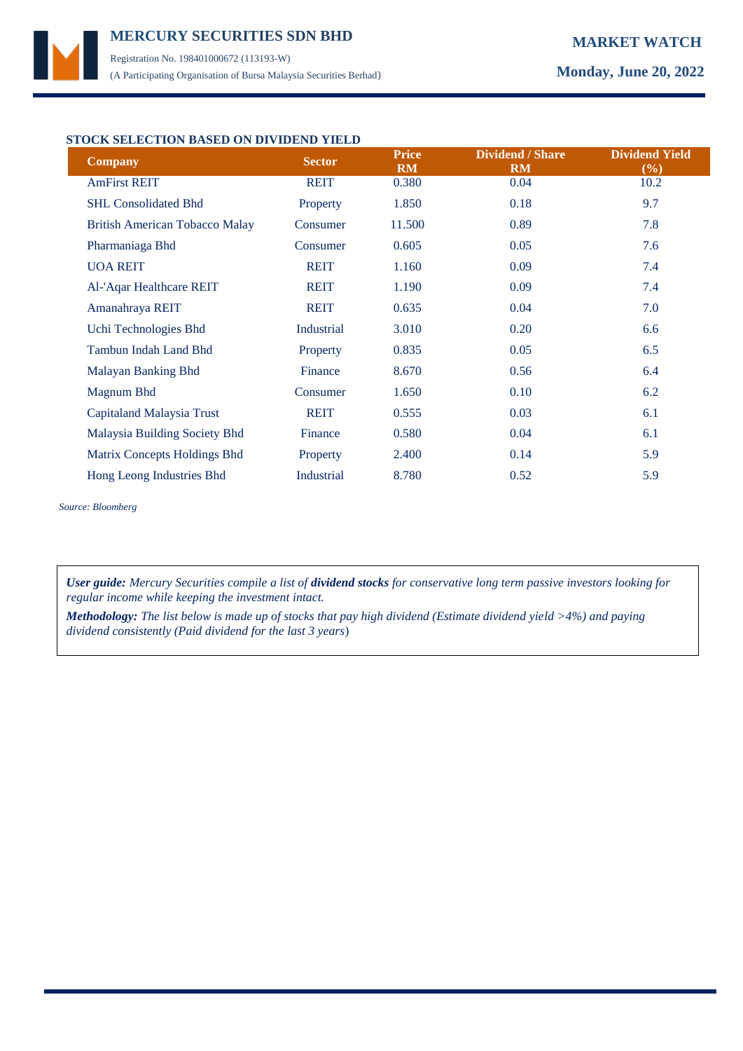Registration No. 198401000672 (113193-W) (A Participating Organisation of Bursa Malaysia Securities Berhad) **Monday, June 20, 2022**

### **STOCK SELECTION BASED ON DIVIDEND YIELD**

| <b>Company</b>                        | <b>Sector</b> | <b>Price</b><br><b>RM</b> | <b>Dividend / Share</b><br><b>RM</b> | <b>Dividend Yield</b><br>$(\%)$ |
|---------------------------------------|---------------|---------------------------|--------------------------------------|---------------------------------|
| <b>AmFirst REIT</b>                   | <b>REIT</b>   | 0.380                     | 0.04                                 | 10.2                            |
| <b>SHL Consolidated Bhd</b>           | Property      | 1.850                     | 0.18                                 | 9.7                             |
| <b>British American Tobacco Malay</b> | Consumer      | 11.500                    | 0.89                                 | 7.8                             |
| Pharmaniaga Bhd                       | Consumer      | 0.605                     | 0.05                                 | 7.6                             |
| <b>UOA REIT</b>                       | <b>REIT</b>   | 1.160                     | 0.09                                 | 7.4                             |
| Al-'Aqar Healthcare REIT              | <b>REIT</b>   | 1.190                     | 0.09                                 | 7.4                             |
| Amanahraya REIT                       | <b>REIT</b>   | 0.635                     | 0.04                                 | 7.0                             |
| Uchi Technologies Bhd                 | Industrial    | 3.010                     | 0.20                                 | 6.6                             |
| <b>Tambun Indah Land Bhd</b>          | Property      | 0.835                     | 0.05                                 | 6.5                             |
| Malayan Banking Bhd                   | Finance       | 8.670                     | 0.56                                 | 6.4                             |
| Magnum Bhd                            | Consumer      | 1.650                     | 0.10                                 | 6.2                             |
| Capitaland Malaysia Trust             | <b>REIT</b>   | 0.555                     | 0.03                                 | 6.1                             |
| Malaysia Building Society Bhd         | Finance       | 0.580                     | 0.04                                 | 6.1                             |
| Matrix Concepts Holdings Bhd          | Property      | 2.400                     | 0.14                                 | 5.9                             |
| Hong Leong Industries Bhd             | Industrial    | 8.780                     | 0.52                                 | 5.9                             |

*Source: Bloomberg*

*User guide: Mercury Securities compile a list of dividend stocks for conservative long term passive investors looking for regular income while keeping the investment intact.*

*Methodology: The list below is made up of stocks that pay high dividend (Estimate dividend yield >4%) and paying dividend consistently (Paid dividend for the last 3 years*)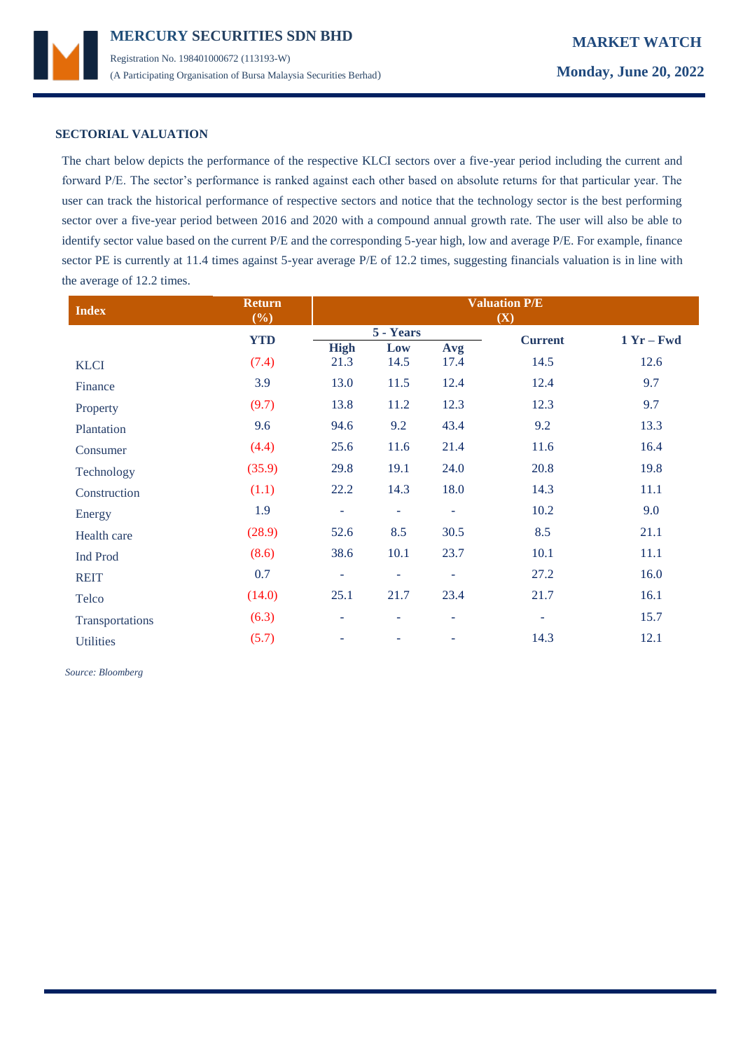

### **SECTORIAL VALUATION**

The chart below depicts the performance of the respective KLCI sectors over a five-year period including the current and forward P/E. The sector's performance is ranked against each other based on absolute returns for that particular year. The user can track the historical performance of respective sectors and notice that the technology sector is the best performing sector over a five-year period between 2016 and 2020 with a compound annual growth rate. The user will also be able to identify sector value based on the current P/E and the corresponding 5-year high, low and average P/E. For example, finance sector PE is currently at 11.4 times against 5-year average P/E of 12.2 times, suggesting financials valuation is in line with the average of 12.2 times.

| <b>Index</b>     | <b>Return</b><br>(%) | <b>Valuation P/E</b><br>(X) |                          |                |                |      |
|------------------|----------------------|-----------------------------|--------------------------|----------------|----------------|------|
|                  | <b>YTD</b>           | 5 - Years                   |                          | <b>Current</b> | $1 Yr - Fwd$   |      |
|                  |                      | <b>High</b>                 | Low                      | Avg            |                |      |
| <b>KLCI</b>      | (7.4)                | 21.3                        | 14.5                     | 17.4           | 14.5           | 12.6 |
| Finance          | 3.9                  | 13.0                        | 11.5                     | 12.4           | 12.4           | 9.7  |
| Property         | (9.7)                | 13.8                        | 11.2                     | 12.3           | 12.3           | 9.7  |
| Plantation       | 9.6                  | 94.6                        | 9.2                      | 43.4           | 9.2            | 13.3 |
| Consumer         | (4.4)                | 25.6                        | 11.6                     | 21.4           | 11.6           | 16.4 |
| Technology       | (35.9)               | 29.8                        | 19.1                     | 24.0           | 20.8           | 19.8 |
| Construction     | (1.1)                | 22.2                        | 14.3                     | 18.0           | 14.3           | 11.1 |
| Energy           | 1.9                  | ÷                           | $\overline{\phantom{a}}$ | $\blacksquare$ | 10.2           | 9.0  |
| Health care      | (28.9)               | 52.6                        | 8.5                      | 30.5           | 8.5            | 21.1 |
| <b>Ind Prod</b>  | (8.6)                | 38.6                        | 10.1                     | 23.7           | 10.1           | 11.1 |
| <b>REIT</b>      | 0.7                  | ٠                           | $\overline{\phantom{a}}$ | ٠              | 27.2           | 16.0 |
| Telco            | (14.0)               | 25.1                        | 21.7                     | 23.4           | 21.7           | 16.1 |
| Transportations  | (6.3)                | ۰                           | ۰                        | $\sim$         | $\blacksquare$ | 15.7 |
| <b>Utilities</b> | (5.7)                | ۰                           |                          |                | 14.3           | 12.1 |

 *Source: Bloomberg*